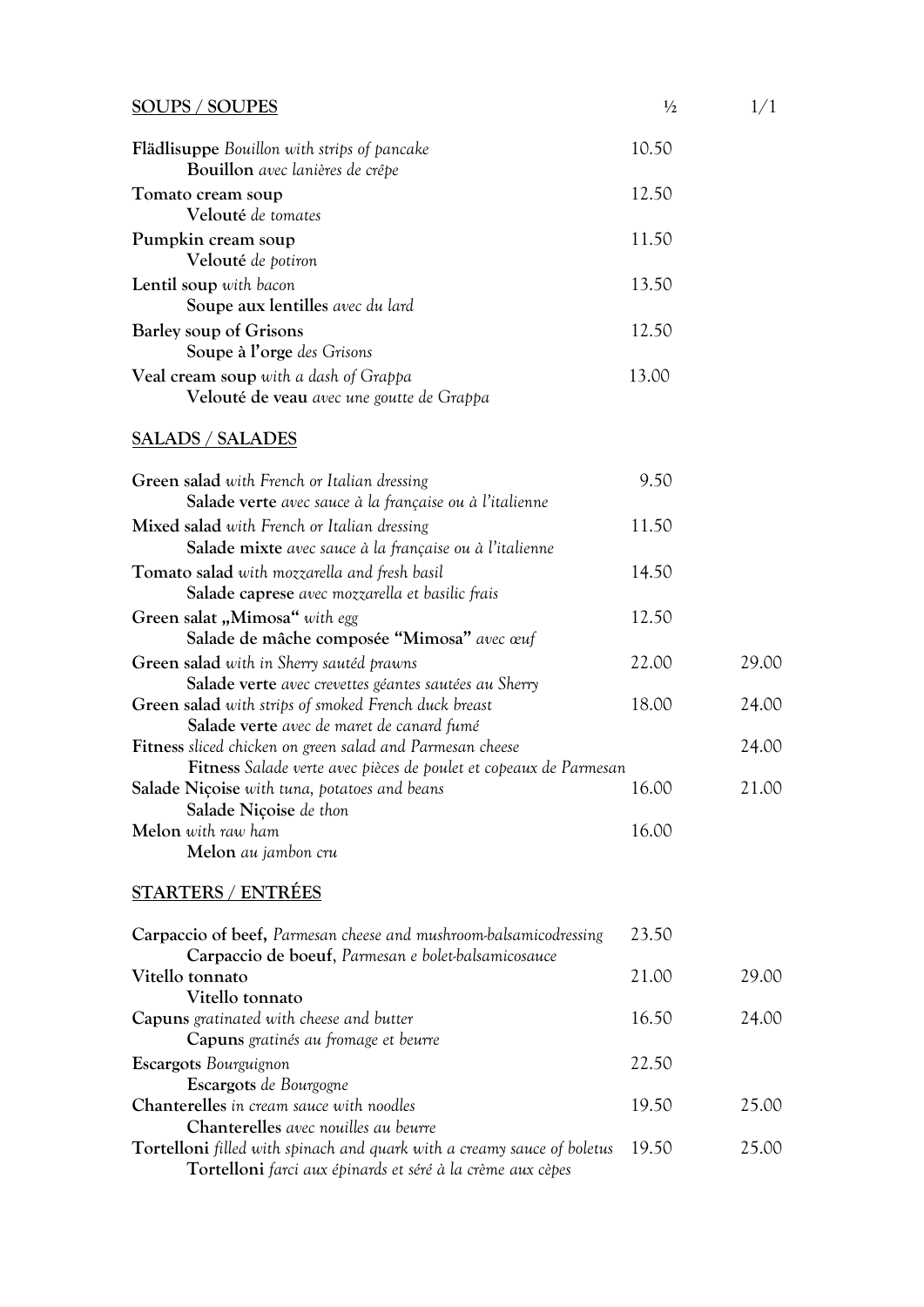| <b>SOUPS / SOUPES</b>                                                                                                                       | $\frac{1}{2}$ | 1/1   |
|---------------------------------------------------------------------------------------------------------------------------------------------|---------------|-------|
| <b>Flädlisuppe</b> Bouillon with strips of pancake<br>Bouillon avec lanières de crêpe                                                       | 10.50         |       |
| Tomato cream soup                                                                                                                           | 12.50         |       |
| Velouté de tomates                                                                                                                          |               |       |
| Pumpkin cream soup<br>Velouté de potiron                                                                                                    | 11.50         |       |
| Lentil soup with bacon<br>Soupe aux lentilles avec du lard                                                                                  | 13.50         |       |
| Barley soup of Grisons                                                                                                                      | 12.50         |       |
| Soupe à l'orge des Grisons                                                                                                                  |               |       |
| Veal cream soup with a dash of Grappa<br>Velouté de veau avec une goutte de Grappa                                                          | 13.00         |       |
| <b>SALADS / SALADES</b>                                                                                                                     |               |       |
| Green salad with French or Italian dressing<br>Salade verte avec sauce à la française ou à l'italienne                                      | 9.50          |       |
| Mixed salad with French or Italian dressing<br>Salade mixte avec sauce à la française ou à l'italienne                                      | 11.50         |       |
| <b>Tomato salad</b> with mozzarella and fresh basil<br>Salade caprese avec mozzarella et basilic frais                                      | 14.50         |       |
| Green salat "Mimosa" with egg<br>Salade de mâche composée "Mimosa" avec œuf                                                                 | 12.50         |       |
| Green salad with in Sherry sautéd prawns<br>Salade verte avec crevettes géantes sautées au Sherry                                           | 22.00         | 29.00 |
| Green salad with strips of smoked French duck breast<br>Salade verte avec de maret de canard fumé                                           | 18.00         | 24.00 |
| Fitness sliced chicken on green salad and Parmesan cheese                                                                                   |               | 24.00 |
| Fitness Salade verte avec pièces de poulet et copeaux de Parmesan<br>Salade Niçoise with tuna, potatoes and beans<br>Salade Niçoise de thon | 16.00         | 21.00 |
| Melon with raw ham<br>Melon au jambon cru                                                                                                   | 16.00         |       |
| <b>STARTERS / ENTRÉES</b>                                                                                                                   |               |       |
| Carpaccio of beef, Parmesan cheese and mushroom-balsamicodressing<br>Carpaccio de boeuf, Parmesan e bolet-balsamicosauce                    | 23.50         |       |
| Vitello tonnato<br>Vitello tonnato                                                                                                          | 21.00         | 29.00 |

**Capuns** gratinated with cheese and butter 16.50 24.00

**Chanterelles** *in cream sauce with noodles* 19.50 25.00

**Tortelloni** *filled with spinach and quark with a creamy sauce of boletus* 19.50 25.00

**Escargots** *Bourguignon* 22.50

**Tortelloni** *farci aux épinards et séré à la crème aux cèpes*

**Capuns** *gratinés au fromage et beurre*

**Chanterelles** *avec nouilles au beurre* 

**Escargots** *de Bourgogne*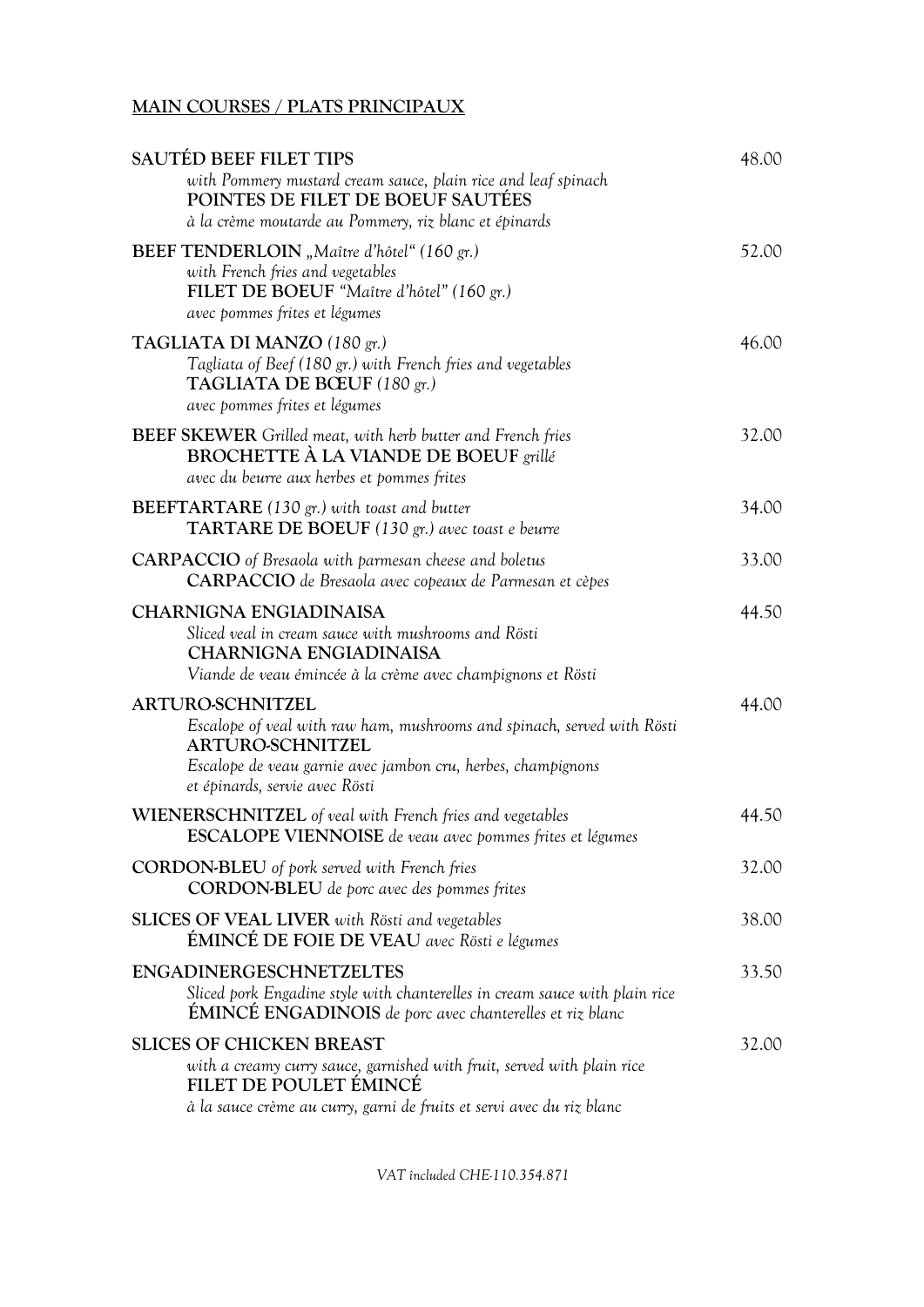## **MAIN COURSES / PLATS PRINCIPAUX**

| SAUTÉD BEEF FILET TIPS                                                                                                                                                                                                          | 48.00 |
|---------------------------------------------------------------------------------------------------------------------------------------------------------------------------------------------------------------------------------|-------|
| with Pommery mustard cream sauce, plain rice and leaf spinach<br>POINTES DE FILET DE BOEUF SAUTÉES<br>à la crème moutarde au Pommery, riz blanc et épinards                                                                     |       |
|                                                                                                                                                                                                                                 |       |
| BEEF TENDERLOIN "Maître d'hôtel" (160 gr.)<br>with French fries and vegetables<br>FILET DE BOEUF "Maître d'hôtel" (160 gr.)<br>avec pommes frites et légumes                                                                    | 52.00 |
| TAGLIATA DI MANZO (180 gr.)<br>Tagliata of Beef (180 gr.) with French fries and vegetables<br>TAGLIATA DE BŒUF (180 gr.)<br>avec pommes frites et légumes                                                                       | 46.00 |
| BEEF SKEWER Grilled meat, with herb butter and French fries<br>BROCHETTE À LA VIANDE DE BOEUF grillé<br>avec du beurre aux herbes et pommes frites                                                                              | 32.00 |
| <b>BEEFTARTARE</b> (130 gr.) with toast and butter<br><b>TARTARE DE BOEUF</b> (130 gr.) avec toast e beurre                                                                                                                     | 34.00 |
| <b>CARPACCIO</b> of Bresaola with parmesan cheese and boletus<br>CARPACCIO de Bresaola avec copeaux de Parmesan et cèpes                                                                                                        | 33.00 |
| <b>CHARNIGNA ENGIADINAISA</b><br>Sliced veal in cream sauce with mushrooms and Rösti<br><b>CHARNIGNA ENGIADINAISA</b><br>Viande de veau émincée à la crème avec champignons et Rösti                                            | 44.50 |
| <b>ARTURO-SCHNITZEL</b><br>Escalope of veal with raw ham, mushrooms and spinach, served with Rösti<br><b>ARTURO-SCHNITZEL</b><br>Escalope de veau garnie avec jambon cru, herbes, champignons<br>et épinards, servie avec Rösti | 44.00 |
| <b>WIENERSCHNITZEL</b> of veal with French fries and vegetables<br><b>ESCALOPE VIENNOISE</b> de veau avec pommes frites et légumes                                                                                              | 44.50 |
| <b>CORDON-BLEU</b> of pork served with French fries<br><b>CORDON-BLEU</b> de porc avec des pommes frites                                                                                                                        | 32.00 |
| <b>SLICES OF VEAL LIVER</b> with Rösti and vegetables<br>ÉMINCÉ DE FOIE DE VEAU avec Rösti e légumes                                                                                                                            | 38.00 |
| <b>ENGADINERGESCHNETZELTES</b><br>Sliced pork Engadine style with chanterelles in cream sauce with plain rice<br><b>ÉMINCÉ ENGADINOIS</b> de porc avec chanterelles et riz blanc                                                | 33.50 |
| <b>SLICES OF CHICKEN BREAST</b><br>with a creamy curry sauce, garnished with fruit, served with plain rice<br>FILET DE POULET ÉMINCÉ<br>à la sauce crème au curry, garni de fruits et servi avec du riz blanc                   | 32.00 |
|                                                                                                                                                                                                                                 |       |

*VAT încluded CHE-110.354.871*